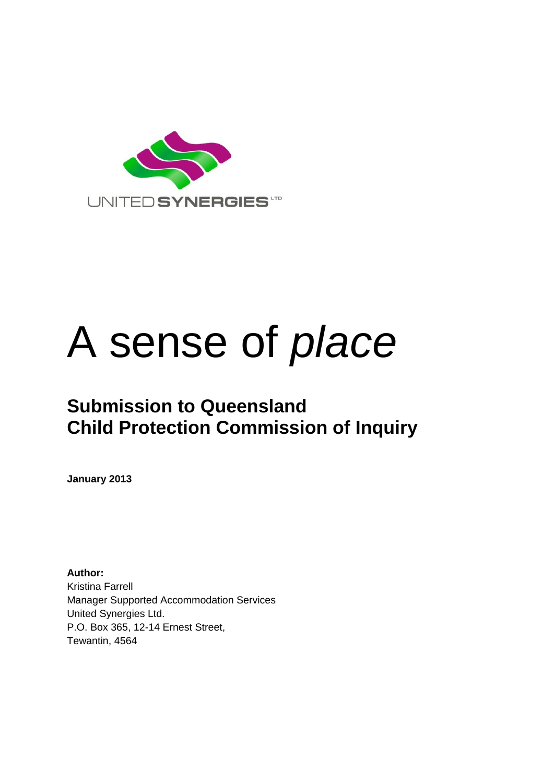

# A sense of *place*

# **Submission to Queensland Child Protection Commission of Inquiry**

**January 2013**

**Author:** Kristina Farrell Manager Supported Accommodation Services United Synergies Ltd. P.O. Box 365, 12-14 Ernest Street, Tewantin, 4564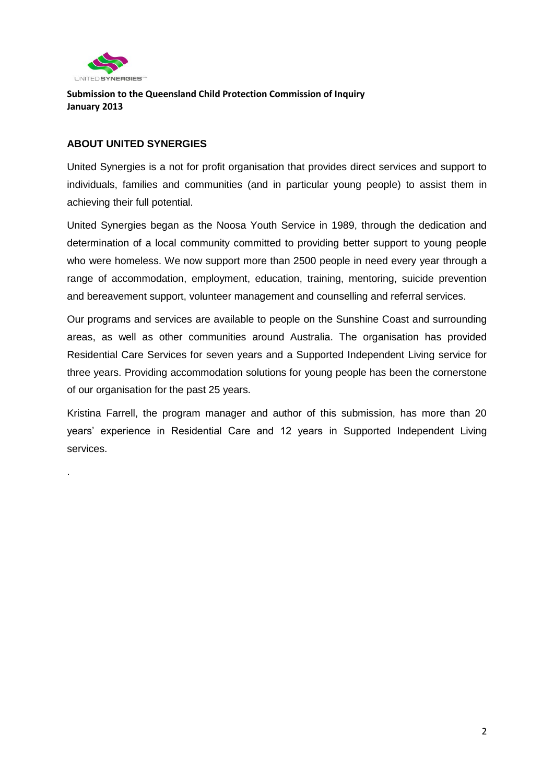

.

**Submission to the Queensland Child Protection Commission of Inquiry January 2013**

#### **ABOUT UNITED SYNERGIES**

United Synergies is a not for profit organisation that provides direct services and support to individuals, families and communities (and in particular young people) to assist them in achieving their full potential.

United Synergies began as the Noosa Youth Service in 1989, through the dedication and determination of a local community committed to providing better support to young people who were homeless. We now support more than 2500 people in need every year through a range of accommodation, employment, education, training, mentoring, suicide prevention and bereavement support, volunteer management and counselling and referral services.

Our programs and services are available to people on the Sunshine Coast and surrounding areas, as well as other communities around Australia. The organisation has provided Residential Care Services for seven years and a Supported Independent Living service for three years. Providing accommodation solutions for young people has been the cornerstone of our organisation for the past 25 years.

Kristina Farrell, the program manager and author of this submission, has more than 20 years' experience in Residential Care and 12 years in Supported Independent Living services.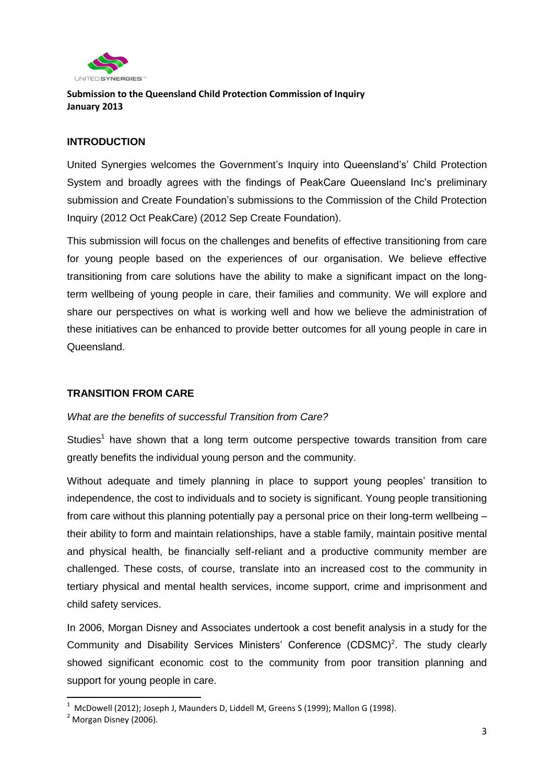

#### **INTRODUCTION**

United Synergies welcomes the Government's Inquiry into Queensland's' Child Protection System and broadly agrees with the findings of PeakCare Queensland Inc's preliminary submission and Create Foundation's submissions to the Commission of the Child Protection Inquiry (2012 Oct PeakCare) (2012 Sep Create Foundation).

This submission will focus on the challenges and benefits of effective transitioning from care for young people based on the experiences of our organisation. We believe effective transitioning from care solutions have the ability to make a significant impact on the longterm wellbeing of young people in care, their families and community. We will explore and share our perspectives on what is working well and how we believe the administration of these initiatives can be enhanced to provide better outcomes for all young people in care in Queensland.

#### **TRANSITION FROM CARE**

#### *What are the benefits of successful Transition from Care?*

Studies<sup>1</sup> have shown that a long term outcome perspective towards transition from care greatly benefits the individual young person and the community.

Without adequate and timely planning in place to support young peoples' transition to independence, the cost to individuals and to society is significant. Young people transitioning from care without this planning potentially pay a personal price on their long-term wellbeing – their ability to form and maintain relationships, have a stable family, maintain positive mental and physical health, be financially self-reliant and a productive community member are challenged. These costs, of course, translate into an increased cost to the community in tertiary physical and mental health services, income support, crime and imprisonment and child safety services.

In 2006, Morgan Disney and Associates undertook a cost benefit analysis in a study for the Community and Disability Services Ministers' Conference  $(CDSMC)^2$ . The study clearly showed significant economic cost to the community from poor transition planning and support for young people in care.

1

 $^{\rm 1}$  McDowell (2012); Joseph J, Maunders D, Liddell M, Greens S (1999); Mallon G (1998).

 $<sup>2</sup>$  Morgan Disney (2006).</sup>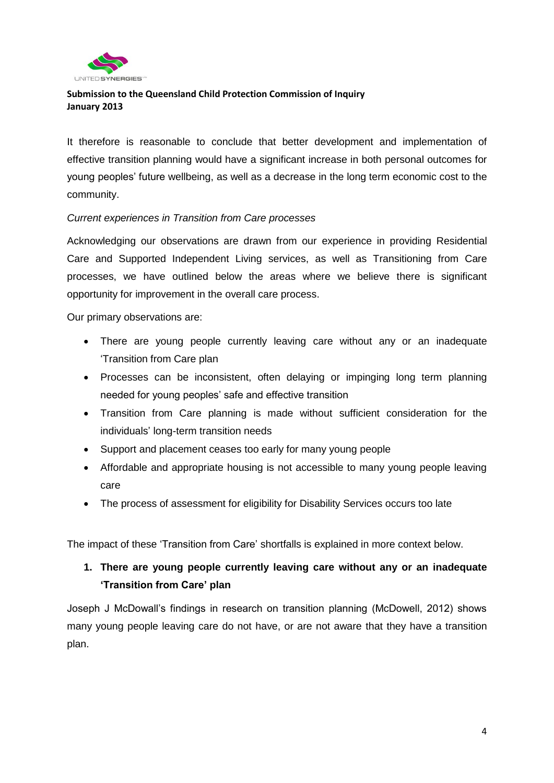

It therefore is reasonable to conclude that better development and implementation of effective transition planning would have a significant increase in both personal outcomes for young peoples' future wellbeing, as well as a decrease in the long term economic cost to the community.

#### *Current experiences in Transition from Care processes*

Acknowledging our observations are drawn from our experience in providing Residential Care and Supported Independent Living services, as well as Transitioning from Care processes, we have outlined below the areas where we believe there is significant opportunity for improvement in the overall care process.

Our primary observations are:

- There are young people currently leaving care without any or an inadequate 'Transition from Care plan
- Processes can be inconsistent, often delaying or impinging long term planning needed for young peoples' safe and effective transition
- Transition from Care planning is made without sufficient consideration for the individuals' long-term transition needs
- Support and placement ceases too early for many young people
- Affordable and appropriate housing is not accessible to many young people leaving care
- The process of assessment for eligibility for Disability Services occurs too late

The impact of these 'Transition from Care' shortfalls is explained in more context below.

### **1. There are young people currently leaving care without any or an inadequate 'Transition from Care' plan**

Joseph J McDowall's findings in research on transition planning (McDowell, 2012) shows many young people leaving care do not have, or are not aware that they have a transition plan.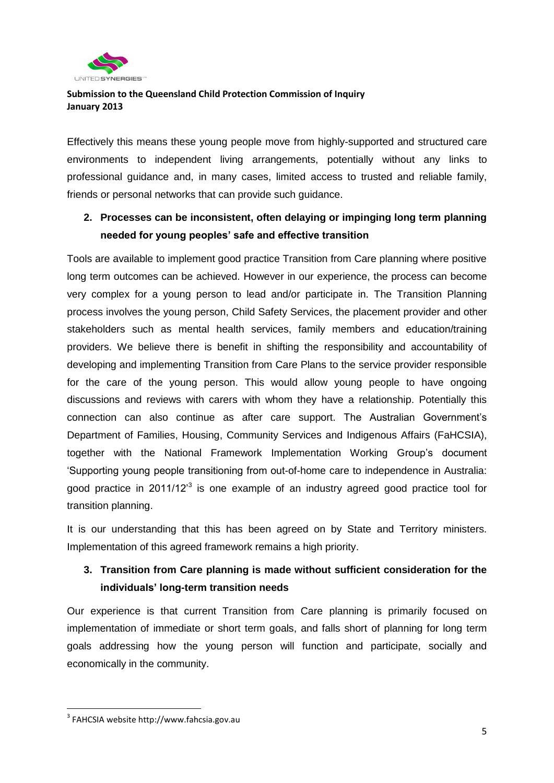

Effectively this means these young people move from highly-supported and structured care environments to independent living arrangements, potentially without any links to professional guidance and, in many cases, limited access to trusted and reliable family, friends or personal networks that can provide such guidance.

# **2. Processes can be inconsistent, often delaying or impinging long term planning needed for young peoples' safe and effective transition**

Tools are available to implement good practice Transition from Care planning where positive long term outcomes can be achieved. However in our experience, the process can become very complex for a young person to lead and/or participate in. The Transition Planning process involves the young person, Child Safety Services, the placement provider and other stakeholders such as mental health services, family members and education/training providers. We believe there is benefit in shifting the responsibility and accountability of developing and implementing Transition from Care Plans to the service provider responsible for the care of the young person. This would allow young people to have ongoing discussions and reviews with carers with whom they have a relationship. Potentially this connection can also continue as after care support. The Australian Government's Department of Families, Housing, Community Services and Indigenous Affairs (FaHCSIA), together with the National Framework Implementation Working Group's document 'Supporting young people transitioning from out-of-home care to independence in Australia: good practice in 2011/12<sup>3</sup> is one example of an industry agreed good practice tool for transition planning.

It is our understanding that this has been agreed on by State and Territory ministers. Implementation of this agreed framework remains a high priority.

# **3. Transition from Care planning is made without sufficient consideration for the individuals' long-term transition needs**

Our experience is that current Transition from Care planning is primarily focused on implementation of immediate or short term goals, and falls short of planning for long term goals addressing how the young person will function and participate, socially and economically in the community.

**.** 

<sup>3</sup> FAHCSIA website http://www.fahcsia.gov.au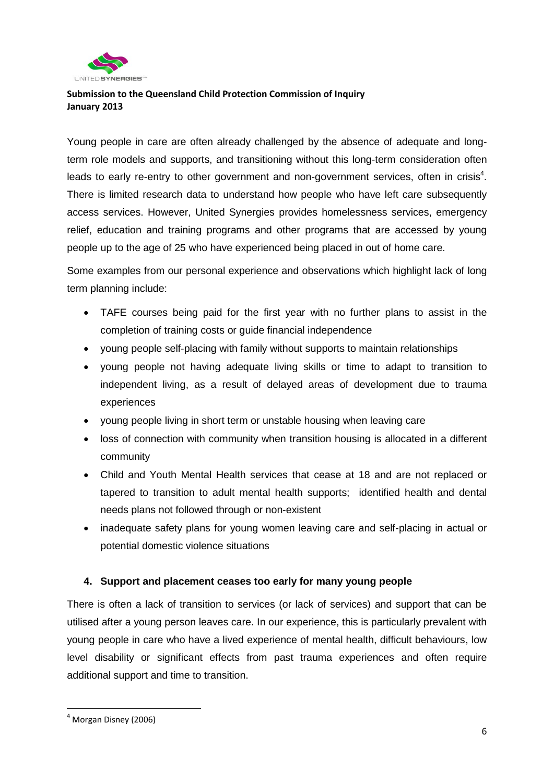

Young people in care are often already challenged by the absence of adequate and longterm role models and supports, and transitioning without this long-term consideration often leads to early re-entry to other government and non-government services, often in crisis<sup>4</sup>. There is limited research data to understand how people who have left care subsequently access services. However, United Synergies provides homelessness services, emergency relief, education and training programs and other programs that are accessed by young people up to the age of 25 who have experienced being placed in out of home care.

Some examples from our personal experience and observations which highlight lack of long term planning include:

- TAFE courses being paid for the first year with no further plans to assist in the completion of training costs or guide financial independence
- young people self-placing with family without supports to maintain relationships
- young people not having adequate living skills or time to adapt to transition to independent living, as a result of delayed areas of development due to trauma experiences
- young people living in short term or unstable housing when leaving care
- loss of connection with community when transition housing is allocated in a different community
- Child and Youth Mental Health services that cease at 18 and are not replaced or tapered to transition to adult mental health supports; identified health and dental needs plans not followed through or non-existent
- inadequate safety plans for young women leaving care and self-placing in actual or potential domestic violence situations

#### **4. Support and placement ceases too early for many young people**

There is often a lack of transition to services (or lack of services) and support that can be utilised after a young person leaves care. In our experience, this is particularly prevalent with young people in care who have a lived experience of mental health, difficult behaviours, low level disability or significant effects from past trauma experiences and often require additional support and time to transition.

**.** 

 $<sup>4</sup>$  Morgan Disney (2006)</sup>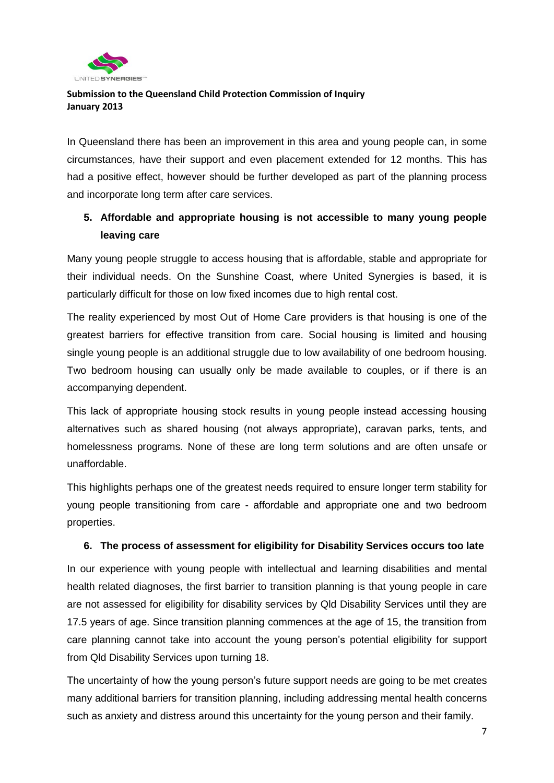

In Queensland there has been an improvement in this area and young people can, in some circumstances, have their support and even placement extended for 12 months. This has had a positive effect, however should be further developed as part of the planning process and incorporate long term after care services.

# **5. Affordable and appropriate housing is not accessible to many young people leaving care**

Many young people struggle to access housing that is affordable, stable and appropriate for their individual needs. On the Sunshine Coast, where United Synergies is based, it is particularly difficult for those on low fixed incomes due to high rental cost.

The reality experienced by most Out of Home Care providers is that housing is one of the greatest barriers for effective transition from care. Social housing is limited and housing single young people is an additional struggle due to low availability of one bedroom housing. Two bedroom housing can usually only be made available to couples, or if there is an accompanying dependent.

This lack of appropriate housing stock results in young people instead accessing housing alternatives such as shared housing (not always appropriate), caravan parks, tents, and homelessness programs. None of these are long term solutions and are often unsafe or unaffordable.

This highlights perhaps one of the greatest needs required to ensure longer term stability for young people transitioning from care - affordable and appropriate one and two bedroom properties.

#### **6. The process of assessment for eligibility for Disability Services occurs too late**

In our experience with young people with intellectual and learning disabilities and mental health related diagnoses, the first barrier to transition planning is that young people in care are not assessed for eligibility for disability services by Qld Disability Services until they are 17.5 years of age. Since transition planning commences at the age of 15, the transition from care planning cannot take into account the young person's potential eligibility for support from Qld Disability Services upon turning 18.

The uncertainty of how the young person's future support needs are going to be met creates many additional barriers for transition planning, including addressing mental health concerns such as anxiety and distress around this uncertainty for the young person and their family.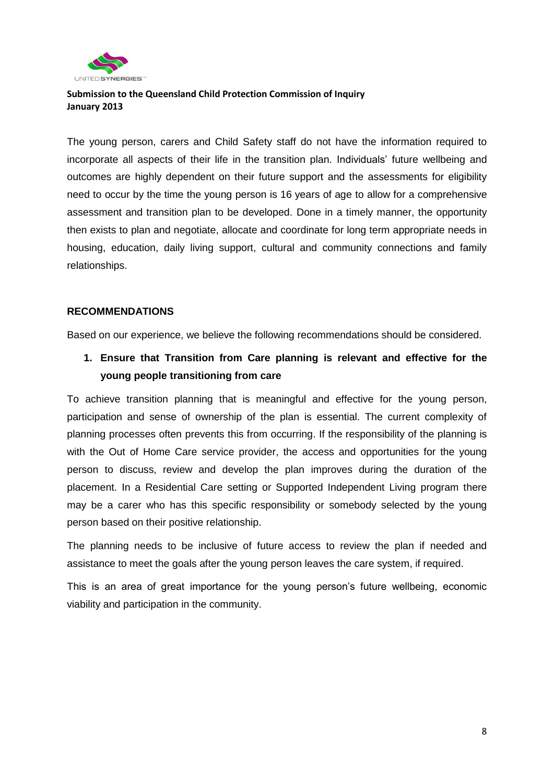

The young person, carers and Child Safety staff do not have the information required to incorporate all aspects of their life in the transition plan. Individuals' future wellbeing and outcomes are highly dependent on their future support and the assessments for eligibility need to occur by the time the young person is 16 years of age to allow for a comprehensive assessment and transition plan to be developed. Done in a timely manner, the opportunity then exists to plan and negotiate, allocate and coordinate for long term appropriate needs in housing, education, daily living support, cultural and community connections and family relationships.

#### **RECOMMENDATIONS**

Based on our experience, we believe the following recommendations should be considered.

**1. Ensure that Transition from Care planning is relevant and effective for the young people transitioning from care**

To achieve transition planning that is meaningful and effective for the young person, participation and sense of ownership of the plan is essential. The current complexity of planning processes often prevents this from occurring. If the responsibility of the planning is with the Out of Home Care service provider, the access and opportunities for the young person to discuss, review and develop the plan improves during the duration of the placement. In a Residential Care setting or Supported Independent Living program there may be a carer who has this specific responsibility or somebody selected by the young person based on their positive relationship.

The planning needs to be inclusive of future access to review the plan if needed and assistance to meet the goals after the young person leaves the care system, if required.

This is an area of great importance for the young person's future wellbeing, economic viability and participation in the community.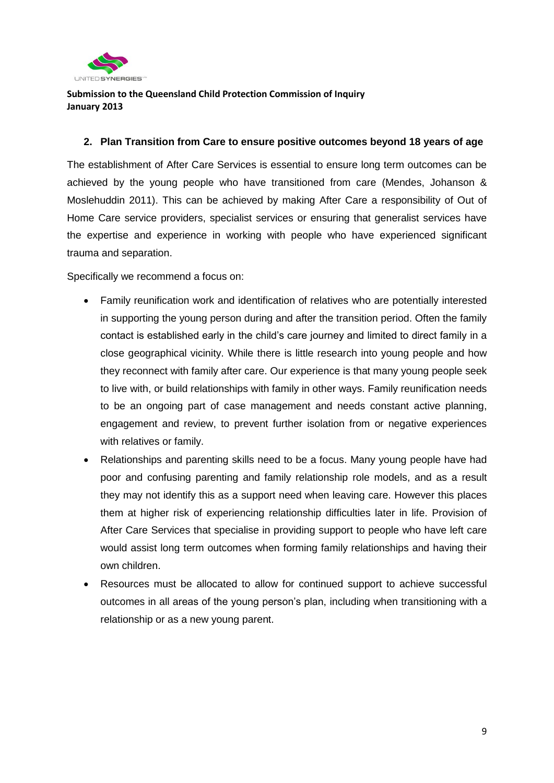

#### **2. Plan Transition from Care to ensure positive outcomes beyond 18 years of age**

The establishment of After Care Services is essential to ensure long term outcomes can be achieved by the young people who have transitioned from care (Mendes, Johanson & Moslehuddin 2011). This can be achieved by making After Care a responsibility of Out of Home Care service providers, specialist services or ensuring that generalist services have the expertise and experience in working with people who have experienced significant trauma and separation.

Specifically we recommend a focus on:

- Family reunification work and identification of relatives who are potentially interested in supporting the young person during and after the transition period. Often the family contact is established early in the child's care journey and limited to direct family in a close geographical vicinity. While there is little research into young people and how they reconnect with family after care. Our experience is that many young people seek to live with, or build relationships with family in other ways. Family reunification needs to be an ongoing part of case management and needs constant active planning, engagement and review, to prevent further isolation from or negative experiences with relatives or family.
- Relationships and parenting skills need to be a focus. Many young people have had poor and confusing parenting and family relationship role models, and as a result they may not identify this as a support need when leaving care. However this places them at higher risk of experiencing relationship difficulties later in life. Provision of After Care Services that specialise in providing support to people who have left care would assist long term outcomes when forming family relationships and having their own children.
- Resources must be allocated to allow for continued support to achieve successful outcomes in all areas of the young person's plan, including when transitioning with a relationship or as a new young parent.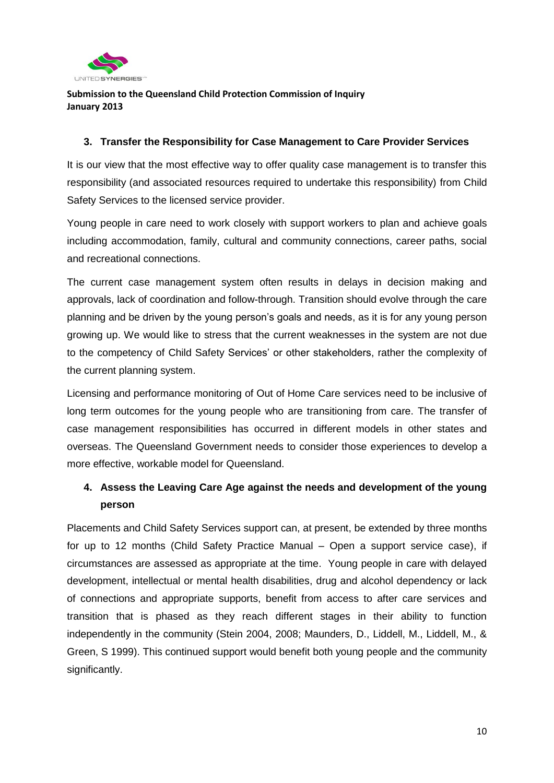

#### **3. Transfer the Responsibility for Case Management to Care Provider Services**

It is our view that the most effective way to offer quality case management is to transfer this responsibility (and associated resources required to undertake this responsibility) from Child Safety Services to the licensed service provider.

Young people in care need to work closely with support workers to plan and achieve goals including accommodation, family, cultural and community connections, career paths, social and recreational connections.

The current case management system often results in delays in decision making and approvals, lack of coordination and follow-through. Transition should evolve through the care planning and be driven by the young person's goals and needs, as it is for any young person growing up. We would like to stress that the current weaknesses in the system are not due to the competency of Child Safety Services' or other stakeholders, rather the complexity of the current planning system.

Licensing and performance monitoring of Out of Home Care services need to be inclusive of long term outcomes for the young people who are transitioning from care. The transfer of case management responsibilities has occurred in different models in other states and overseas. The Queensland Government needs to consider those experiences to develop a more effective, workable model for Queensland.

# **4. Assess the Leaving Care Age against the needs and development of the young person**

Placements and Child Safety Services support can, at present, be extended by three months for up to 12 months (Child Safety Practice Manual – Open a support service case), if circumstances are assessed as appropriate at the time. Young people in care with delayed development, intellectual or mental health disabilities, drug and alcohol dependency or lack of connections and appropriate supports, benefit from access to after care services and transition that is phased as they reach different stages in their ability to function independently in the community (Stein 2004, 2008; Maunders, D., Liddell, M., Liddell, M., & Green, S 1999). This continued support would benefit both young people and the community significantly.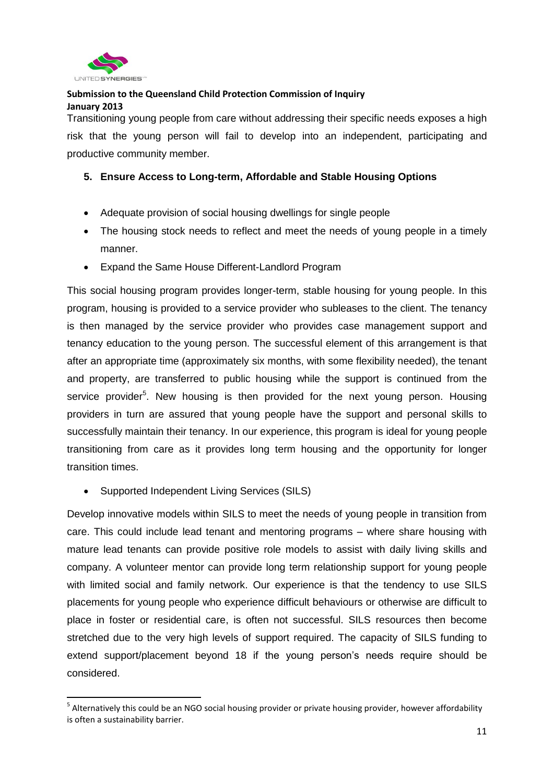

1

#### **Submission to the Queensland Child Protection Commission of Inquiry January 2013**

Transitioning young people from care without addressing their specific needs exposes a high risk that the young person will fail to develop into an independent, participating and productive community member.

#### **5. Ensure Access to Long-term, Affordable and Stable Housing Options**

- Adequate provision of social housing dwellings for single people
- The housing stock needs to reflect and meet the needs of young people in a timely manner.
- Expand the Same House Different-Landlord Program

This social housing program provides longer-term, stable housing for young people. In this program, housing is provided to a service provider who subleases to the client. The tenancy is then managed by the service provider who provides case management support and tenancy education to the young person. The successful element of this arrangement is that after an appropriate time (approximately six months, with some flexibility needed), the tenant and property, are transferred to public housing while the support is continued from the service provider<sup>5</sup>. New housing is then provided for the next young person. Housing providers in turn are assured that young people have the support and personal skills to successfully maintain their tenancy. In our experience, this program is ideal for young people transitioning from care as it provides long term housing and the opportunity for longer transition times.

Supported Independent Living Services (SILS)

Develop innovative models within SILS to meet the needs of young people in transition from care. This could include lead tenant and mentoring programs – where share housing with mature lead tenants can provide positive role models to assist with daily living skills and company. A volunteer mentor can provide long term relationship support for young people with limited social and family network. Our experience is that the tendency to use SILS placements for young people who experience difficult behaviours or otherwise are difficult to place in foster or residential care, is often not successful. SILS resources then become stretched due to the very high levels of support required. The capacity of SILS funding to extend support/placement beyond 18 if the young person's needs require should be considered.

<sup>&</sup>lt;sup>5</sup> Alternatively this could be an NGO social housing provider or private housing provider, however affordability is often a sustainability barrier.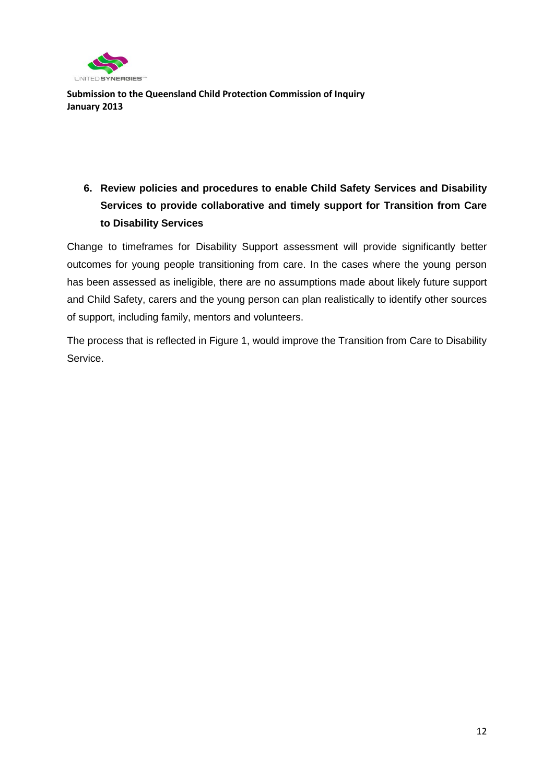

# **6. Review policies and procedures to enable Child Safety Services and Disability Services to provide collaborative and timely support for Transition from Care to Disability Services**

Change to timeframes for Disability Support assessment will provide significantly better outcomes for young people transitioning from care. In the cases where the young person has been assessed as ineligible, there are no assumptions made about likely future support and Child Safety, carers and the young person can plan realistically to identify other sources of support, including family, mentors and volunteers.

The process that is reflected in Figure 1, would improve the Transition from Care to Disability Service.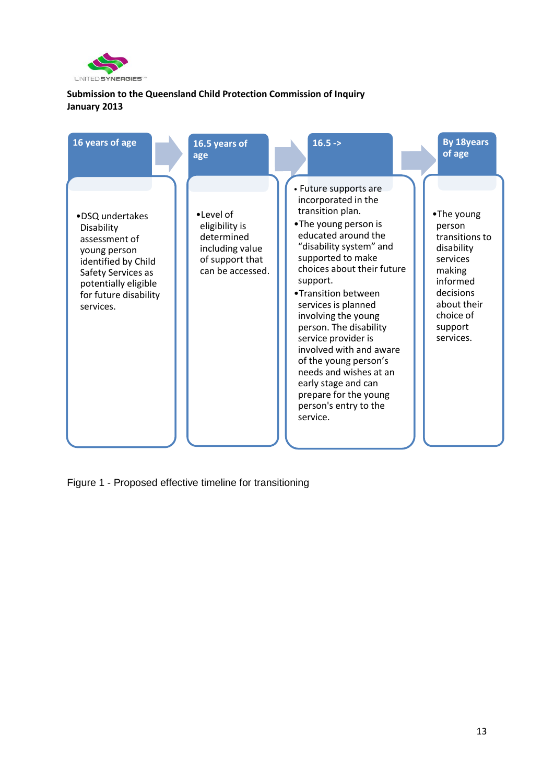

| 16 years of age                                                                                                                                                           | 16.5 years of<br>age                                                                                | $16.5 ->$                                                                                                                                                                                                                                                                                                                                                                                                                                                                                          | <b>By 18years</b><br>of age                                                                                                                             |
|---------------------------------------------------------------------------------------------------------------------------------------------------------------------------|-----------------------------------------------------------------------------------------------------|----------------------------------------------------------------------------------------------------------------------------------------------------------------------------------------------------------------------------------------------------------------------------------------------------------------------------------------------------------------------------------------------------------------------------------------------------------------------------------------------------|---------------------------------------------------------------------------------------------------------------------------------------------------------|
| •DSQ undertakes<br>Disability<br>assessment of<br>young person<br>identified by Child<br>Safety Services as<br>potentially eligible<br>for future disability<br>services. | •Level of<br>eligibility is<br>determined<br>including value<br>of support that<br>can be accessed. | • Future supports are<br>incorporated in the<br>transition plan.<br>•The young person is<br>educated around the<br>"disability system" and<br>supported to make<br>choices about their future<br>support.<br>•Transition between<br>services is planned<br>involving the young<br>person. The disability<br>service provider is<br>involved with and aware<br>of the young person's<br>needs and wishes at an<br>early stage and can<br>prepare for the young<br>person's entry to the<br>service. | •The young<br>person<br>transitions to<br>disability<br>services<br>making<br>informed<br>decisions<br>about their<br>choice of<br>support<br>services. |

Figure 1 - Proposed effective timeline for transitioning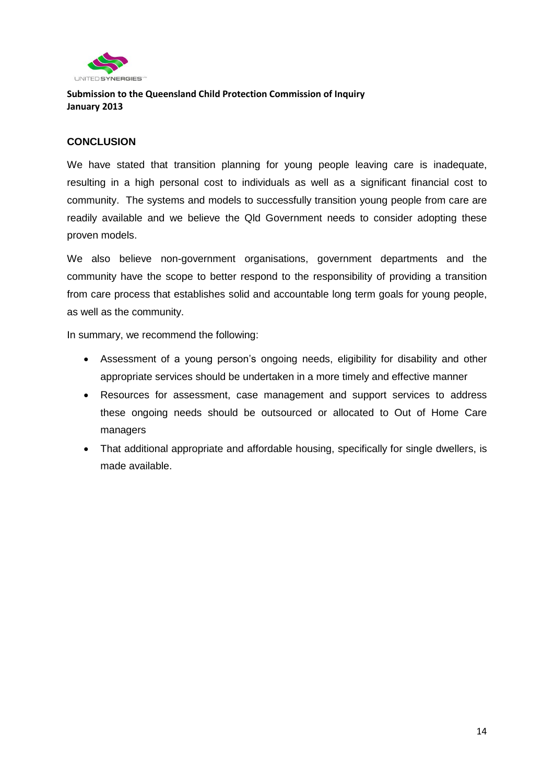

#### **CONCLUSION**

We have stated that transition planning for young people leaving care is inadequate, resulting in a high personal cost to individuals as well as a significant financial cost to community. The systems and models to successfully transition young people from care are readily available and we believe the Qld Government needs to consider adopting these proven models.

We also believe non-government organisations, government departments and the community have the scope to better respond to the responsibility of providing a transition from care process that establishes solid and accountable long term goals for young people, as well as the community.

In summary, we recommend the following:

- Assessment of a young person's ongoing needs, eligibility for disability and other appropriate services should be undertaken in a more timely and effective manner
- Resources for assessment, case management and support services to address these ongoing needs should be outsourced or allocated to Out of Home Care managers
- That additional appropriate and affordable housing, specifically for single dwellers, is made available.